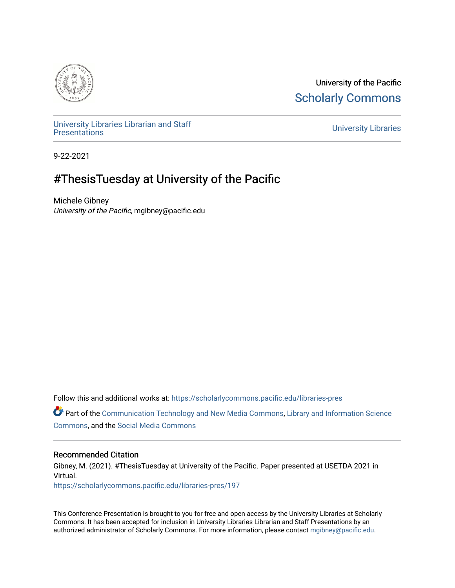

University of the Pacific [Scholarly Commons](https://scholarlycommons.pacific.edu/) 

[University Libraries Librarian and Staff](https://scholarlycommons.pacific.edu/libraries-pres) 

**University Libraries** 

9-22-2021

# #ThesisTuesday at University of the Pacific

Michele Gibney University of the Pacific, mgibney@pacific.edu

Follow this and additional works at: [https://scholarlycommons.pacific.edu/libraries-pres](https://scholarlycommons.pacific.edu/libraries-pres?utm_source=scholarlycommons.pacific.edu%2Flibraries-pres%2F197&utm_medium=PDF&utm_campaign=PDFCoverPages) 

 $\bullet$  Part of the [Communication Technology and New Media Commons,](http://network.bepress.com/hgg/discipline/327?utm_source=scholarlycommons.pacific.edu%2Flibraries-pres%2F197&utm_medium=PDF&utm_campaign=PDFCoverPages) [Library and Information Science](http://network.bepress.com/hgg/discipline/1018?utm_source=scholarlycommons.pacific.edu%2Flibraries-pres%2F197&utm_medium=PDF&utm_campaign=PDFCoverPages) [Commons](http://network.bepress.com/hgg/discipline/1018?utm_source=scholarlycommons.pacific.edu%2Flibraries-pres%2F197&utm_medium=PDF&utm_campaign=PDFCoverPages), and the [Social Media Commons](http://network.bepress.com/hgg/discipline/1249?utm_source=scholarlycommons.pacific.edu%2Flibraries-pres%2F197&utm_medium=PDF&utm_campaign=PDFCoverPages) 

# Recommended Citation

Gibney, M. (2021). #ThesisTuesday at University of the Pacific. Paper presented at USETDA 2021 in Virtual.

[https://scholarlycommons.pacific.edu/libraries-pres/197](https://scholarlycommons.pacific.edu/libraries-pres/197?utm_source=scholarlycommons.pacific.edu%2Flibraries-pres%2F197&utm_medium=PDF&utm_campaign=PDFCoverPages) 

This Conference Presentation is brought to you for free and open access by the University Libraries at Scholarly Commons. It has been accepted for inclusion in University Libraries Librarian and Staff Presentations by an authorized administrator of Scholarly Commons. For more information, please contact [mgibney@pacific.edu.](mailto:mgibney@pacific.edu)